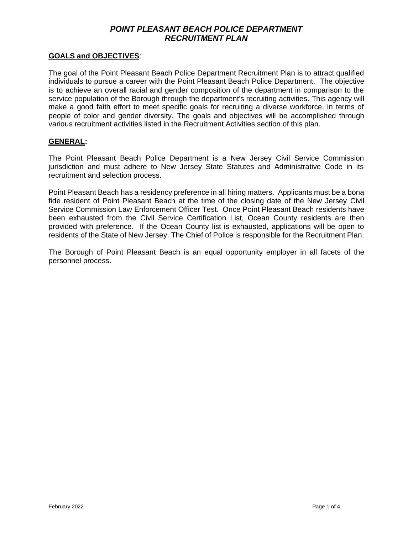### **GOALS and OBJECTIVES**:

The goal of the Point Pleasant Beach Police Department Recruitment Plan is to attract qualified individuals to pursue a career with the Point Pleasant Beach Police Department. The objective is to achieve an overall racial and gender composition of the department in comparison to the service population of the Borough through the department's recruiting activities. This agency will make a good faith effort to meet specific goals for recruiting a diverse workforce, in terms of people of color and gender diversity. The goals and objectives will be accomplished through various recruitment activities listed in the Recruitment Activities section of this plan.

### **GENERAL:**

The Point Pleasant Beach Police Department is a New Jersey Civil Service Commission jurisdiction and must adhere to New Jersey State Statutes and Administrative Code in its recruitment and selection process.

Point Pleasant Beach has a residency preference in all hiring matters. Applicants must be a bona fide resident of Point Pleasant Beach at the time of the closing date of the New Jersey Civil Service Commission Law Enforcement Officer Test. Once Point Pleasant Beach residents have been exhausted from the Civil Service Certification List, Ocean County residents are then provided with preference. If the Ocean County list is exhausted, applications will be open to residents of the State of New Jersey. The Chief of Police is responsible for the Recruitment Plan.

The Borough of Point Pleasant Beach is an equal opportunity employer in all facets of the personnel process.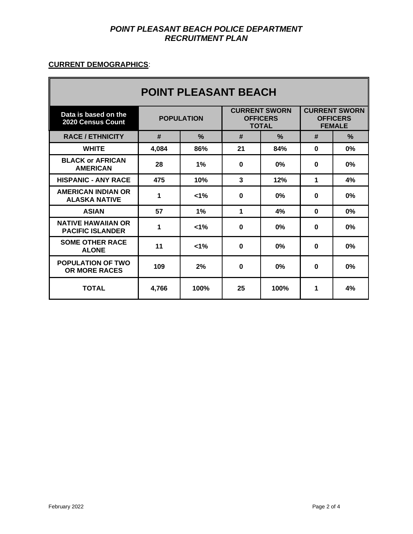# **CURRENT DEMOGRAPHICS**:

| <b>POINT PLEASANT BEACH</b>                          |                   |               |                                                         |               |                                                          |      |
|------------------------------------------------------|-------------------|---------------|---------------------------------------------------------|---------------|----------------------------------------------------------|------|
| Data is based on the<br><b>2020 Census Count</b>     | <b>POPULATION</b> |               | <b>CURRENT SWORN</b><br><b>OFFICERS</b><br><b>TOTAL</b> |               | <b>CURRENT SWORN</b><br><b>OFFICERS</b><br><b>FEMALE</b> |      |
| <b>RACE / ETHNICITY</b>                              | #                 | $\frac{0}{2}$ | #                                                       | $\frac{9}{6}$ | #                                                        | $\%$ |
| <b>WHITE</b>                                         | 4,084             | 86%           | 21                                                      | 84%           | 0                                                        | 0%   |
| <b>BLACK or AFRICAN</b><br><b>AMERICAN</b>           | 28                | 1%            | $\bf{0}$                                                | $0\%$         | $\bf{0}$                                                 | 0%   |
| <b>HISPANIC - ANY RACE</b>                           | 475               | 10%           | $\mathbf{3}$                                            | 12%           | 1                                                        | 4%   |
| <b>AMERICAN INDIAN OR</b><br><b>ALASKA NATIVE</b>    | 1                 | $1\%$         | $\bf{0}$                                                | $0\%$         | 0                                                        | 0%   |
| <b>ASIAN</b>                                         | 57                | 1%            | 1                                                       | 4%            | 0                                                        | 0%   |
| <b>NATIVE HAWAIIAN OR</b><br><b>PACIFIC ISLANDER</b> | 1                 | $1\%$         | $\bf{0}$                                                | 0%            | 0                                                        | 0%   |
| <b>SOME OTHER RACE</b><br><b>ALONE</b>               | 11                | $< 1\%$       | $\bf{0}$                                                | 0%            | $\bf{0}$                                                 | 0%   |
| <b>POPULATION OF TWO</b><br><b>OR MORE RACES</b>     | 109               | 2%            | $\mathbf{0}$                                            | $0\%$         | $\bf{0}$                                                 | 0%   |
| <b>TOTAL</b>                                         | 4,766             | 100%          | 25                                                      | 100%          | 1                                                        | 4%   |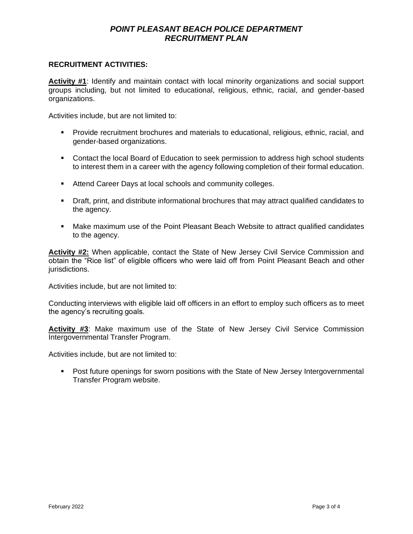#### **RECRUITMENT ACTIVITIES:**

**Activity #1**: Identify and maintain contact with local minority organizations and social support groups including, but not limited to educational, religious, ethnic, racial, and gender-based organizations.

Activities include, but are not limited to:

- Provide recruitment brochures and materials to educational, religious, ethnic, racial, and gender-based organizations.
- Contact the local Board of Education to seek permission to address high school students to interest them in a career with the agency following completion of their formal education.
- Attend Career Days at local schools and community colleges.
- Draft, print, and distribute informational brochures that may attract qualified candidates to the agency.
- Make maximum use of the Point Pleasant Beach Website to attract qualified candidates to the agency.

**Activity #2:** When applicable, contact the State of New Jersey Civil Service Commission and obtain the "Rice list" of eligible officers who were laid off from Point Pleasant Beach and other jurisdictions.

Activities include, but are not limited to:

Conducting interviews with eligible laid off officers in an effort to employ such officers as to meet the agency's recruiting goals.

**Activity #3**: Make maximum use of the State of New Jersey Civil Service Commission Intergovernmental Transfer Program.

Activities include, but are not limited to:

■ Post future openings for sworn positions with the State of New Jersey Intergovernmental Transfer Program website.